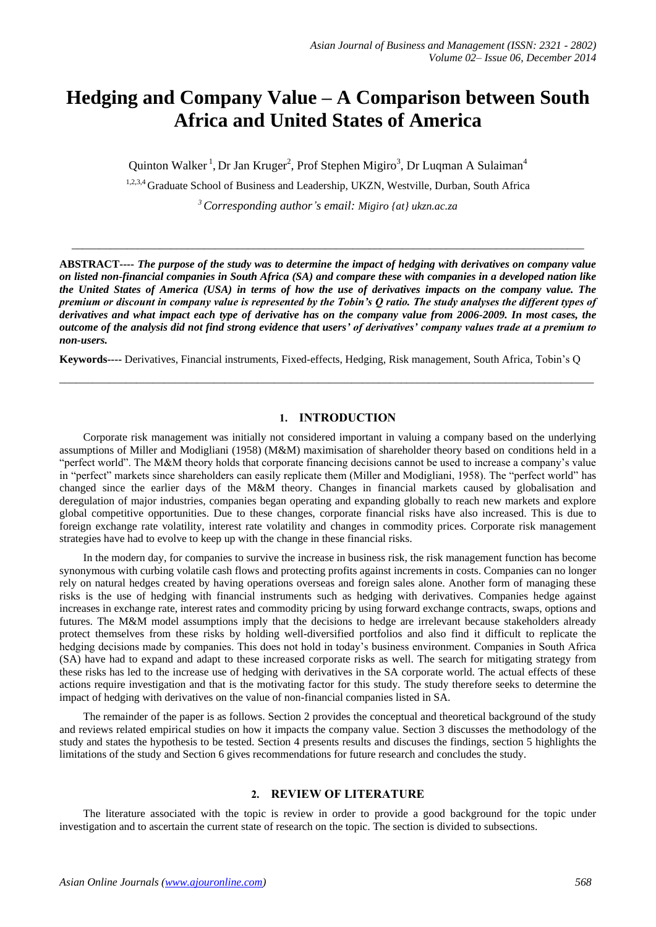# **Hedging and Company Value – A Comparison between South Africa and United States of America**

Quinton Walker<sup>1</sup>, Dr Jan Kruger<sup>2</sup>, Prof Stephen Migiro<sup>3</sup>, Dr Luqman A Sulaiman<sup>4</sup>

<sup>1,2,3,4</sup> Graduate School of Business and Leadership, UKZN, Westville, Durban, South Africa

*<sup>3</sup>Corresponding author's email: Migiro {at} ukzn.ac.za*

 $\_$  ,  $\_$  ,  $\_$  ,  $\_$  ,  $\_$  ,  $\_$  ,  $\_$  ,  $\_$  ,  $\_$  ,  $\_$  ,  $\_$  ,  $\_$  ,  $\_$  ,  $\_$  ,  $\_$  ,  $\_$  ,  $\_$  ,  $\_$  ,  $\_$  ,  $\_$  ,  $\_$  ,  $\_$  ,  $\_$  ,  $\_$  ,  $\_$  ,  $\_$  ,  $\_$  ,  $\_$  ,  $\_$  ,  $\_$  ,  $\_$  ,  $\_$  ,  $\_$  ,  $\_$  ,  $\_$  ,  $\_$  ,  $\_$  ,

**ABSTRACT----** *The purpose of the study was to determine the impact of hedging with derivatives on company value on listed non-financial companies in South Africa (SA) and compare these with companies in a developed nation like the United States of America (USA) in terms of how the use of derivatives impacts on the company value. The premium or discount in company value is represented by the Tobin's Q ratio. The study analyses the different types of derivatives and what impact each type of derivative has on the company value from 2006-2009. In most cases, the outcome of the analysis did not find strong evidence that users' of derivatives' company values trade at a premium to non-users.*

**Keywords----** Derivatives, Financial instruments, Fixed-effects, Hedging, Risk management, South Africa, Tobin's Q

\_\_\_\_\_\_\_\_\_\_\_\_\_\_\_\_\_\_\_\_\_\_\_\_\_\_\_\_\_\_\_\_\_\_\_\_\_\_\_\_\_\_\_\_\_\_\_\_\_\_\_\_\_\_\_\_\_\_\_\_\_\_\_\_\_\_\_\_\_\_\_\_\_\_\_\_\_\_\_\_\_\_\_\_\_\_\_\_\_\_\_\_\_\_\_\_\_

#### **1. INTRODUCTION**

Corporate risk management was initially not considered important in valuing a company based on the underlying assumptions of Miller and Modigliani (1958) (M&M) maximisation of shareholder theory based on conditions held in a "perfect world". The M&M theory holds that corporate financing decisions cannot be used to increase a company's value in "perfect" markets since shareholders can easily replicate them (Miller and Modigliani, 1958). The "perfect world" has changed since the earlier days of the M&M theory. Changes in financial markets caused by globalisation and deregulation of major industries, companies began operating and expanding globally to reach new markets and explore global competitive opportunities. Due to these changes, corporate financial risks have also increased. This is due to foreign exchange rate volatility, interest rate volatility and changes in commodity prices. Corporate risk management strategies have had to evolve to keep up with the change in these financial risks.

In the modern day, for companies to survive the increase in business risk, the risk management function has become synonymous with curbing volatile cash flows and protecting profits against increments in costs. Companies can no longer rely on natural hedges created by having operations overseas and foreign sales alone. Another form of managing these risks is the use of hedging with financial instruments such as hedging with derivatives. Companies hedge against increases in exchange rate, interest rates and commodity pricing by using forward exchange contracts, swaps, options and futures. The M&M model assumptions imply that the decisions to hedge are irrelevant because stakeholders already protect themselves from these risks by holding well-diversified portfolios and also find it difficult to replicate the hedging decisions made by companies. This does not hold in today's business environment. Companies in South Africa (SA) have had to expand and adapt to these increased corporate risks as well. The search for mitigating strategy from these risks has led to the increase use of hedging with derivatives in the SA corporate world. The actual effects of these actions require investigation and that is the motivating factor for this study. The study therefore seeks to determine the impact of hedging with derivatives on the value of non-financial companies listed in SA.

The remainder of the paper is as follows. Section 2 provides the conceptual and theoretical background of the study and reviews related empirical studies on how it impacts the company value. Section 3 discusses the methodology of the study and states the hypothesis to be tested. Section 4 presents results and discuses the findings, section 5 highlights the limitations of the study and Section 6 gives recommendations for future research and concludes the study.

#### **2. REVIEW OF LITERATURE**

The literature associated with the topic is review in order to provide a good background for the topic under investigation and to ascertain the current state of research on the topic. The section is divided to subsections.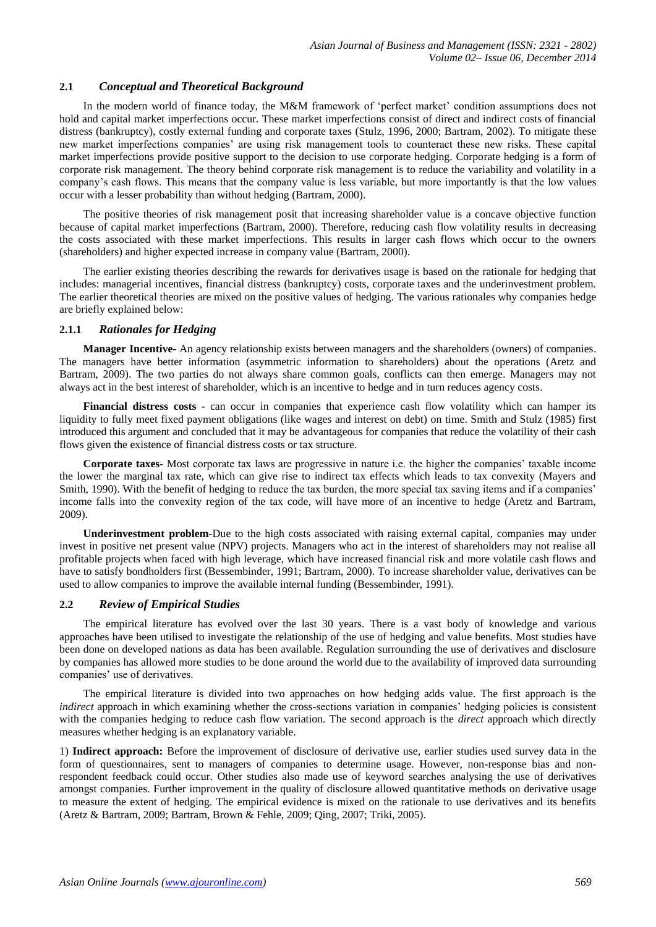## **2.1** *Conceptual and Theoretical Background*

In the modern world of finance today, the M&M framework of 'perfect market' condition assumptions does not hold and capital market imperfections occur. These market imperfections consist of direct and indirect costs of financial distress (bankruptcy), costly external funding and corporate taxes (Stulz, 1996, 2000; Bartram, 2002). To mitigate these new market imperfections companies' are using risk management tools to counteract these new risks. These capital market imperfections provide positive support to the decision to use corporate hedging. Corporate hedging is a form of corporate risk management. The theory behind corporate risk management is to reduce the variability and volatility in a company's cash flows. This means that the company value is less variable, but more importantly is that the low values occur with a lesser probability than without hedging (Bartram, 2000).

The positive theories of risk management posit that increasing shareholder value is a concave objective function because of capital market imperfections (Bartram, 2000). Therefore, reducing cash flow volatility results in decreasing the costs associated with these market imperfections. This results in larger cash flows which occur to the owners (shareholders) and higher expected increase in company value (Bartram, 2000).

The earlier existing theories describing the rewards for derivatives usage is based on the rationale for hedging that includes: managerial incentives, financial distress (bankruptcy) costs, corporate taxes and the underinvestment problem. The earlier theoretical theories are mixed on the positive values of hedging. The various rationales why companies hedge are briefly explained below:

## **2.1.1** *Rationales for Hedging*

**Manager Incentive-** An agency relationship exists between managers and the shareholders (owners) of companies. The managers have better information (asymmetric information to shareholders) about the operations (Aretz and Bartram, 2009). The two parties do not always share common goals, conflicts can then emerge. Managers may not always act in the best interest of shareholder, which is an incentive to hedge and in turn reduces agency costs.

**Financial distress costs** *-* can occur in companies that experience cash flow volatility which can hamper its liquidity to fully meet fixed payment obligations (like wages and interest on debt) on time. Smith and Stulz (1985) first introduced this argument and concluded that it may be advantageous for companies that reduce the volatility of their cash flows given the existence of financial distress costs or tax structure.

**Corporate taxes***-* Most corporate tax laws are progressive in nature i.e. the higher the companies' taxable income the lower the marginal tax rate, which can give rise to indirect tax effects which leads to tax convexity (Mayers and Smith, 1990). With the benefit of hedging to reduce the tax burden, the more special tax saving items and if a companies' income falls into the convexity region of the tax code, will have more of an incentive to hedge (Aretz and Bartram, 2009).

**Underinvestment problem**-Due to the high costs associated with raising external capital, companies may under invest in positive net present value (NPV) projects. Managers who act in the interest of shareholders may not realise all profitable projects when faced with high leverage, which have increased financial risk and more volatile cash flows and have to satisfy bondholders first (Bessembinder, 1991; Bartram, 2000). To increase shareholder value, derivatives can be used to allow companies to improve the available internal funding (Bessembinder, 1991).

## **2.2** *Review of Empirical Studies*

The empirical literature has evolved over the last 30 years. There is a vast body of knowledge and various approaches have been utilised to investigate the relationship of the use of hedging and value benefits. Most studies have been done on developed nations as data has been available. Regulation surrounding the use of derivatives and disclosure by companies has allowed more studies to be done around the world due to the availability of improved data surrounding companies' use of derivatives.

The empirical literature is divided into two approaches on how hedging adds value. The first approach is the *indirect* approach in which examining whether the cross-sections variation in companies' hedging policies is consistent with the companies hedging to reduce cash flow variation. The second approach is the *direct* approach which directly measures whether hedging is an explanatory variable.

1) **Indirect approach:** Before the improvement of disclosure of derivative use, earlier studies used survey data in the form of questionnaires, sent to managers of companies to determine usage. However, non-response bias and nonrespondent feedback could occur. Other studies also made use of keyword searches analysing the use of derivatives amongst companies. Further improvement in the quality of disclosure allowed quantitative methods on derivative usage to measure the extent of hedging. The empirical evidence is mixed on the rationale to use derivatives and its benefits (Aretz & Bartram, 2009; Bartram, Brown & Fehle, 2009; Qing, 2007; Triki, 2005).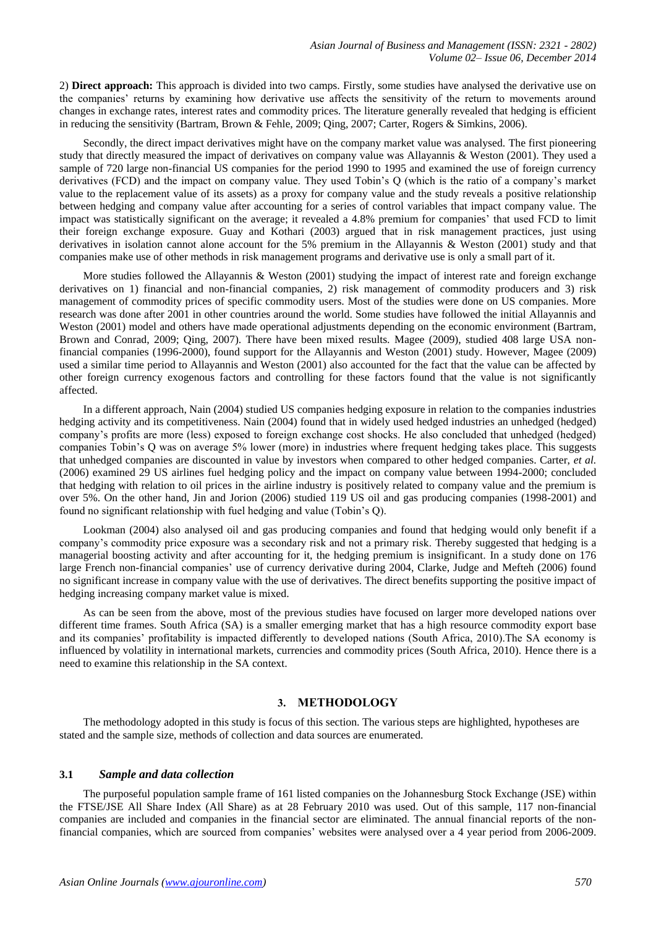2) **Direct approach:** This approach is divided into two camps. Firstly, some studies have analysed the derivative use on the companies' returns by examining how derivative use affects the sensitivity of the return to movements around changes in exchange rates, interest rates and commodity prices. The literature generally revealed that hedging is efficient in reducing the sensitivity (Bartram, Brown & Fehle, 2009; Qing, 2007; Carter, Rogers & Simkins, 2006).

Secondly, the direct impact derivatives might have on the company market value was analysed. The first pioneering study that directly measured the impact of derivatives on company value was Allayannis & Weston (2001). They used a sample of 720 large non-financial US companies for the period 1990 to 1995 and examined the use of foreign currency derivatives (FCD) and the impact on company value. They used Tobin's Q (which is the ratio of a company's market value to the replacement value of its assets) as a proxy for company value and the study reveals a positive relationship between hedging and company value after accounting for a series of control variables that impact company value. The impact was statistically significant on the average; it revealed a 4.8% premium for companies' that used FCD to limit their foreign exchange exposure. Guay and Kothari (2003) argued that in risk management practices, just using derivatives in isolation cannot alone account for the 5% premium in the Allayannis & Weston (2001) study and that companies make use of other methods in risk management programs and derivative use is only a small part of it.

More studies followed the Allayannis & Weston (2001) studying the impact of interest rate and foreign exchange derivatives on 1) financial and non-financial companies, 2) risk management of commodity producers and 3) risk management of commodity prices of specific commodity users. Most of the studies were done on US companies. More research was done after 2001 in other countries around the world. Some studies have followed the initial Allayannis and Weston (2001) model and others have made operational adjustments depending on the economic environment (Bartram, Brown and Conrad, 2009; Qing, 2007). There have been mixed results. Magee (2009), studied 408 large USA nonfinancial companies (1996-2000), found support for the Allayannis and Weston (2001) study. However, Magee (2009) used a similar time period to Allayannis and Weston (2001) also accounted for the fact that the value can be affected by other foreign currency exogenous factors and controlling for these factors found that the value is not significantly affected.

In a different approach, Nain (2004) studied US companies hedging exposure in relation to the companies industries hedging activity and its competitiveness. Nain (2004) found that in widely used hedged industries an unhedged (hedged) company's profits are more (less) exposed to foreign exchange cost shocks. He also concluded that unhedged (hedged) companies Tobin's Q was on average 5% lower (more) in industries where frequent hedging takes place. This suggests that unhedged companies are discounted in value by investors when compared to other hedged companies. Carter, *et al.* (2006) examined 29 US airlines fuel hedging policy and the impact on company value between 1994-2000; concluded that hedging with relation to oil prices in the airline industry is positively related to company value and the premium is over 5%. On the other hand, Jin and Jorion (2006) studied 119 US oil and gas producing companies (1998-2001) and found no significant relationship with fuel hedging and value (Tobin's Q).

Lookman (2004) also analysed oil and gas producing companies and found that hedging would only benefit if a company's commodity price exposure was a secondary risk and not a primary risk. Thereby suggested that hedging is a managerial boosting activity and after accounting for it, the hedging premium is insignificant. In a study done on 176 large French non-financial companies' use of currency derivative during 2004, Clarke, Judge and Mefteh (2006) found no significant increase in company value with the use of derivatives. The direct benefits supporting the positive impact of hedging increasing company market value is mixed.

As can be seen from the above, most of the previous studies have focused on larger more developed nations over different time frames. South Africa (SA) is a smaller emerging market that has a high resource commodity export base and its companies' profitability is impacted differently to developed nations (South Africa, 2010).The SA economy is influenced by volatility in international markets, currencies and commodity prices (South Africa, 2010). Hence there is a need to examine this relationship in the SA context.

## **3. METHODOLOGY**

The methodology adopted in this study is focus of this section. The various steps are highlighted, hypotheses are stated and the sample size, methods of collection and data sources are enumerated.

#### **3.1** *Sample and data collection*

The purposeful population sample frame of 161 listed companies on the Johannesburg Stock Exchange (JSE) within the FTSE/JSE All Share Index (All Share) as at 28 February 2010 was used. Out of this sample, 117 non-financial companies are included and companies in the financial sector are eliminated. The annual financial reports of the nonfinancial companies, which are sourced from companies' websites were analysed over a 4 year period from 2006-2009.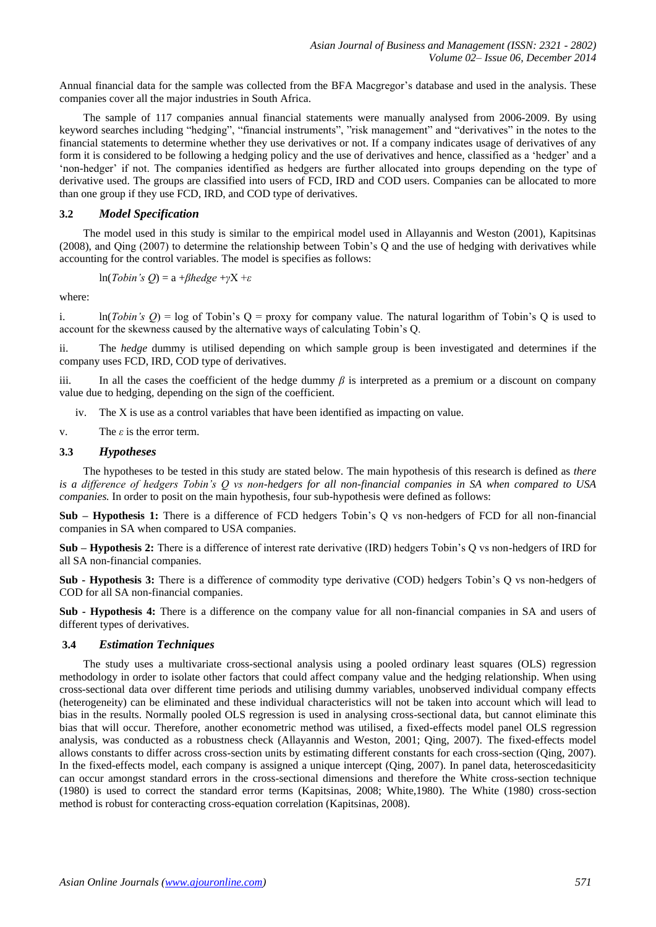Annual financial data for the sample was collected from the BFA Macgregor's database and used in the analysis. These companies cover all the major industries in South Africa.

The sample of 117 companies annual financial statements were manually analysed from 2006-2009. By using keyword searches including "hedging", "financial instruments", "risk management" and "derivatives" in the notes to the financial statements to determine whether they use derivatives or not. If a company indicates usage of derivatives of any form it is considered to be following a hedging policy and the use of derivatives and hence, classified as a 'hedger' and a 'non-hedger' if not. The companies identified as hedgers are further allocated into groups depending on the type of derivative used. The groups are classified into users of FCD, IRD and COD users. Companies can be allocated to more than one group if they use FCD, IRD, and COD type of derivatives.

## **3.2** *Model Specification*

The model used in this study is similar to the empirical model used in Allayannis and Weston (2001), Kapitsinas (2008), and Qing (2007) to determine the relationship between Tobin's Q and the use of hedging with derivatives while accounting for the control variables. The model is specifies as follows:

$$
\ln(Tobin's Q) = a + \beta hedge + \gamma X + \varepsilon
$$

where:

i. ln(*Tobin's Q*) = log of Tobin's Q = proxy for company value. The natural logarithm of Tobin's Q is used to account for the skewness caused by the alternative ways of calculating Tobin's Q.

ii. The *hedge* dummy is utilised depending on which sample group is been investigated and determines if the company uses FCD, IRD, COD type of derivatives.

iii. In all the cases the coefficient of the hedge dummy *β* is interpreted as a premium or a discount on company value due to hedging, depending on the sign of the coefficient.

iv. The X is use as a control variables that have been identified as impacting on value.

v. The *ε* is the error term.

## **3.3** *Hypotheses*

The hypotheses to be tested in this study are stated below. The main hypothesis of this research is defined as *there is a difference of hedgers Tobin's Q vs non-hedgers for all non-financial companies in SA when compared to USA companies.* In order to posit on the main hypothesis, four sub-hypothesis were defined as follows:

**Sub – Hypothesis 1:** There is a difference of FCD hedgers Tobin's Q vs non-hedgers of FCD for all non-financial companies in SA when compared to USA companies.

**Sub – Hypothesis 2:** There is a difference of interest rate derivative (IRD) hedgers Tobin's Q vs non-hedgers of IRD for all SA non-financial companies.

**Sub - Hypothesis 3:** There is a difference of commodity type derivative (COD) hedgers Tobin's Q vs non-hedgers of COD for all SA non-financial companies.

**Sub - Hypothesis 4:** There is a difference on the company value for all non-financial companies in SA and users of different types of derivatives.

## **3.4** *Estimation Techniques*

The study uses a multivariate cross-sectional analysis using a pooled ordinary least squares (OLS) regression methodology in order to isolate other factors that could affect company value and the hedging relationship. When using cross-sectional data over different time periods and utilising dummy variables, unobserved individual company effects (heterogeneity) can be eliminated and these individual characteristics will not be taken into account which will lead to bias in the results. Normally pooled OLS regression is used in analysing cross-sectional data, but cannot eliminate this bias that will occur. Therefore, another econometric method was utilised, a fixed-effects model panel OLS regression analysis, was conducted as a robustness check (Allayannis and Weston, 2001; Qing, 2007). The fixed-effects model allows constants to differ across cross-section units by estimating different constants for each cross-section (Qing, 2007). In the fixed-effects model, each company is assigned a unique intercept (Qing, 2007). In panel data, heteroscedasiticity can occur amongst standard errors in the cross-sectional dimensions and therefore the White cross-section technique (1980) is used to correct the standard error terms (Kapitsinas, 2008; White,1980). The White (1980) cross-section method is robust for conteracting cross-equation correlation (Kapitsinas, 2008).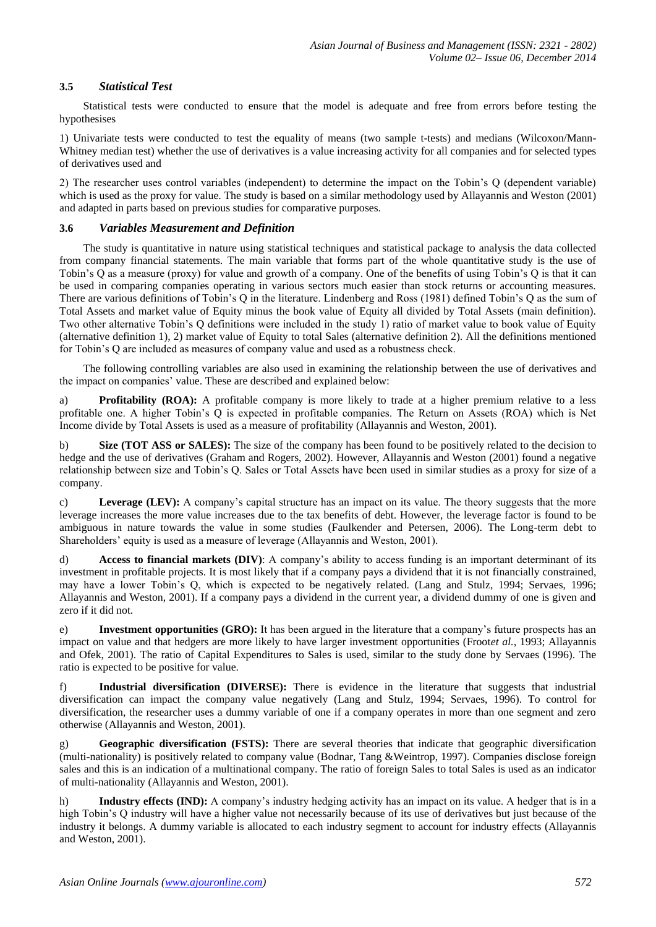# **3.5** *Statistical Test*

Statistical tests were conducted to ensure that the model is adequate and free from errors before testing the hypothesises

1) Univariate tests were conducted to test the equality of means (two sample t-tests) and medians (Wilcoxon/Mann-Whitney median test) whether the use of derivatives is a value increasing activity for all companies and for selected types of derivatives used and

2) The researcher uses control variables (independent) to determine the impact on the Tobin's Q (dependent variable) which is used as the proxy for value. The study is based on a similar methodology used by Allayannis and Weston (2001) and adapted in parts based on previous studies for comparative purposes.

# **3.6** *Variables Measurement and Definition*

The study is quantitative in nature using statistical techniques and statistical package to analysis the data collected from company financial statements. The main variable that forms part of the whole quantitative study is the use of Tobin's Q as a measure (proxy) for value and growth of a company. One of the benefits of using Tobin's Q is that it can be used in comparing companies operating in various sectors much easier than stock returns or accounting measures. There are various definitions of Tobin's Q in the literature. Lindenberg and Ross (1981) defined Tobin's Q as the sum of Total Assets and market value of Equity minus the book value of Equity all divided by Total Assets (main definition). Two other alternative Tobin's Q definitions were included in the study 1) ratio of market value to book value of Equity (alternative definition 1), 2) market value of Equity to total Sales (alternative definition 2). All the definitions mentioned for Tobin's Q are included as measures of company value and used as a robustness check.

The following controlling variables are also used in examining the relationship between the use of derivatives and the impact on companies' value. These are described and explained below:

a) **Profitability (ROA):** A profitable company is more likely to trade at a higher premium relative to a less profitable one. A higher Tobin's Q is expected in profitable companies. The Return on Assets (ROA) which is Net Income divide by Total Assets is used as a measure of profitability (Allayannis and Weston, 2001).

b) **Size (TOT ASS or SALES):** The size of the company has been found to be positively related to the decision to hedge and the use of derivatives (Graham and Rogers, 2002). However, Allayannis and Weston (2001) found a negative relationship between size and Tobin's Q. Sales or Total Assets have been used in similar studies as a proxy for size of a company.

c) **Leverage (LEV):** A company's capital structure has an impact on its value. The theory suggests that the more leverage increases the more value increases due to the tax benefits of debt. However, the leverage factor is found to be ambiguous in nature towards the value in some studies (Faulkender and Petersen, 2006). The Long-term debt to Shareholders' equity is used as a measure of leverage (Allayannis and Weston, 2001).

d) **Access to financial markets (DIV)**: A company's ability to access funding is an important determinant of its investment in profitable projects. It is most likely that if a company pays a dividend that it is not financially constrained, may have a lower Tobin's Q, which is expected to be negatively related. (Lang and Stulz, 1994; Servaes, 1996; Allayannis and Weston, 2001). If a company pays a dividend in the current year, a dividend dummy of one is given and zero if it did not.

e) **Investment opportunities (GRO):** It has been argued in the literature that a company's future prospects has an impact on value and that hedgers are more likely to have larger investment opportunities (Froot*et al.*, 1993; Allayannis and Ofek, 2001). The ratio of Capital Expenditures to Sales is used, similar to the study done by Servaes (1996). The ratio is expected to be positive for value.

f) **Industrial diversification (DIVERSE):** There is evidence in the literature that suggests that industrial diversification can impact the company value negatively (Lang and Stulz, 1994; Servaes, 1996). To control for diversification, the researcher uses a dummy variable of one if a company operates in more than one segment and zero otherwise (Allayannis and Weston, 2001).

g) **Geographic diversification (FSTS):** There are several theories that indicate that geographic diversification (multi-nationality) is positively related to company value (Bodnar, Tang &Weintrop, 1997). Companies disclose foreign sales and this is an indication of a multinational company. The ratio of foreign Sales to total Sales is used as an indicator of multi-nationality (Allayannis and Weston, 2001).

h) **Industry effects (IND):** A company's industry hedging activity has an impact on its value. A hedger that is in a high Tobin's Q industry will have a higher value not necessarily because of its use of derivatives but just because of the industry it belongs. A dummy variable is allocated to each industry segment to account for industry effects (Allayannis and Weston, 2001).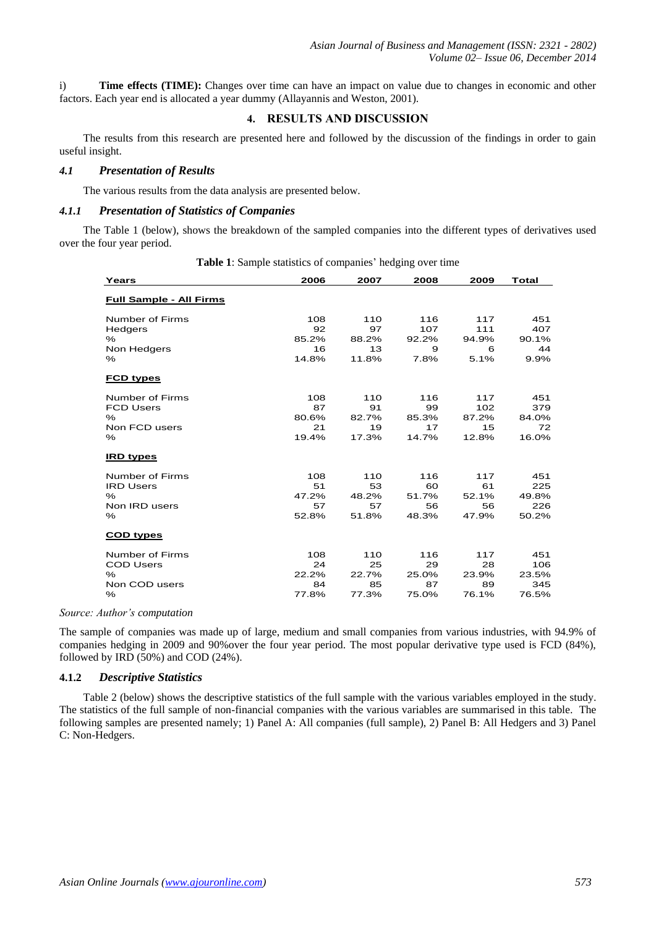i) **Time effects (TIME):** Changes over time can have an impact on value due to changes in economic and other factors. Each year end is allocated a year dummy (Allayannis and Weston, 2001).

## **4. RESULTS AND DISCUSSION**

The results from this research are presented here and followed by the discussion of the findings in order to gain useful insight.

## *4.1 Presentation of Results*

The various results from the data analysis are presented below.

# *4.1.1 Presentation of Statistics of Companies*

The Table 1 (below), shows the breakdown of the sampled companies into the different types of derivatives used over the four year period.

| Years                          | 2006  | 2007  | 2008  | 2009  | <b>Total</b> |
|--------------------------------|-------|-------|-------|-------|--------------|
| <b>Full Sample - All Firms</b> |       |       |       |       |              |
| Number of Firms                | 108   | 110   | 116   | 117   | 451          |
| Hedgers                        | 92    | 97    | 107   | 111   | 407          |
| $\%$                           | 85.2% | 88.2% | 92.2% | 94.9% | 90.1%        |
| Non Hedgers                    | 16    | 13    | 9     | 6     | 44           |
| %                              | 14.8% | 11.8% | 7.8%  | 5.1%  | 9.9%         |
| <b>FCD types</b>               |       |       |       |       |              |
| Number of Firms                | 108   | 110   | 116   | 117   | 451          |
| <b>FCD Users</b>               | 87    | 91    | 99    | 102   | 379          |
| $\%$                           | 80.6% | 82.7% | 85.3% | 87.2% | 84.0%        |
| Non FCD users                  | 21    | 19    | 17    | 15    | 72           |
| $\%$                           | 19.4% | 17.3% | 14.7% | 12.8% | 16.0%        |
| <b>IRD types</b>               |       |       |       |       |              |
| Number of Firms                | 108   | 110   | 116   | 117   | 451          |
| <b>IRD Users</b>               | 51    | 53    | 60    | 61    | 225          |
| $\%$                           | 47.2% | 48.2% | 51.7% | 52.1% | 49.8%        |
| Non IRD users                  | 57    | 57    | 56    | 56    | 226          |
| %                              | 52.8% | 51.8% | 48.3% | 47.9% | 50.2%        |
| <b>COD types</b>               |       |       |       |       |              |
| Number of Firms                | 108   | 110   | 116   | 117   | 451          |
| <b>COD Users</b>               | 24    | 25    | 29    | 28    | 106          |
| $\%$                           | 22.2% | 22.7% | 25.0% | 23.9% | 23.5%        |
| Non COD users                  | 84    | 85    | 87    | 89    | 345          |
| %                              | 77.8% | 77.3% | 75.0% | 76.1% | 76.5%        |

**Table 1**: Sample statistics of companies' hedging over time

#### *Source: Author's computation*

The sample of companies was made up of large, medium and small companies from various industries, with 94.9% of companies hedging in 2009 and 90%over the four year period. The most popular derivative type used is FCD (84%), followed by IRD (50%) and COD (24%).

## **4.1.2** *Descriptive Statistics*

Table 2 (below) shows the descriptive statistics of the full sample with the various variables employed in the study. The statistics of the full sample of non-financial companies with the various variables are summarised in this table. The following samples are presented namely; 1) Panel A: All companies (full sample), 2) Panel B: All Hedgers and 3) Panel C: Non-Hedgers.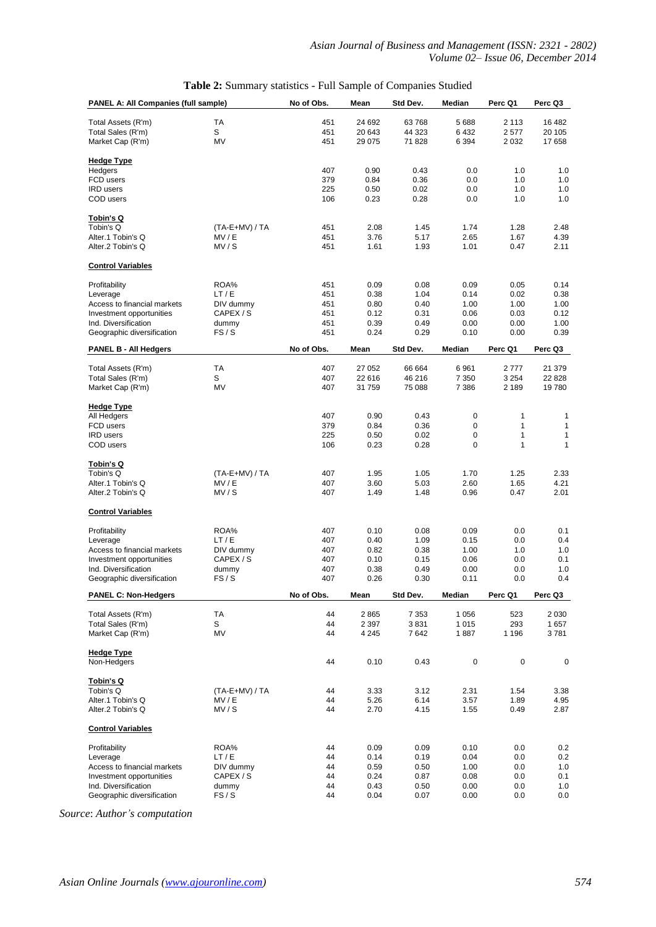| PANEL A: All Companies (full sample)   |                  | No of Obs. | Mean         | Std Dev.     | Median       | Perc Q1      | Perc Q3      |
|----------------------------------------|------------------|------------|--------------|--------------|--------------|--------------|--------------|
| Total Assets (R'm)                     | TA               | 451        | 24 692       | 63768        | 5 6 8 8      | 2 1 1 3      | 16 482       |
| Total Sales (R'm)                      | S                | 451        | 20 643       | 44 323       | 6432         | 2577         | 20 105       |
| Market Cap (R'm)                       | MV               | 451        | 29 0 75      | 71 828       | 6 3 9 4      | 2 0 3 2      | 17 658       |
|                                        |                  |            |              |              |              |              |              |
| <b>Hedge Type</b>                      |                  |            |              |              |              |              |              |
| Hedgers                                |                  | 407        | 0.90         | 0.43         | 0.0          | 1.0          | 1.0          |
| FCD users                              |                  | 379        | 0.84         | 0.36         | 0.0          | 1.0          | 1.0          |
| <b>IRD</b> users                       |                  | 225        | 0.50         | 0.02         | 0.0          | 1.0          | 1.0          |
| COD users                              |                  | 106        | 0.23         | 0.28         | 0.0          | 1.0          | 1.0          |
| <u>Tobin's Q</u>                       |                  |            |              |              |              |              |              |
| Tobin's Q                              | $(TA-E+MV) / TA$ | 451        | 2.08         | 1.45         | 1.74         | 1.28         | 2.48         |
| Alter.1 Tobin's Q                      | MV/E             | 451        | 3.76         | 5.17         | 2.65         | 1.67         | 4.39         |
| Alter.2 Tobin's Q                      | MV/S             | 451        | 1.61         | 1.93         | 1.01         | 0.47         | 2.11         |
| <b>Control Variables</b>               |                  |            |              |              |              |              |              |
| Profitability                          | ROA%             | 451        | 0.09         | 0.08         | 0.09         | 0.05         | 0.14         |
| Leverage                               | LT/E             | 451        | 0.38         | 1.04         | 0.14         | 0.02         | 0.38         |
| Access to financial markets            | DIV dummy        | 451        | 0.80         | 0.40         | 1.00         | 1.00         | 1.00         |
| Investment opportunities               | CAPEX/S          | 451        | 0.12         | 0.31         | 0.06         | 0.03         | 0.12         |
| Ind. Diversification                   | dummy            | 451        | 0.39         | 0.49         | 0.00         | 0.00         | 1.00         |
| Geographic diversification             | FS/S             | 451        | 0.24         | 0.29         | 0.10         | 0.00         | 0.39         |
| <b>PANEL B - All Hedgers</b>           |                  | No of Obs. | Mean         | Std Dev.     | Median       | Perc Q1      | Perc Q3      |
|                                        |                  |            |              |              |              |              |              |
| Total Assets (R'm)                     | TA               | 407        | 27 052       | 66 664       | 6961         | 2777         | 21 379       |
| Total Sales (R'm)                      | S                | 407        | 22 616       | 46 216       | 7 3 5 0      | 3 2 5 4      | 22 8 28      |
| Market Cap (R'm)                       | <b>MV</b>        | 407        | 31759        | 75 088       | 7 3 8 6      | 2 1 8 9      | 19780        |
| <b>Hedge Type</b>                      |                  |            |              |              |              |              |              |
| All Hedgers                            |                  | 407        | 0.90         | 0.43         | 0            | 1            | 1            |
| FCD users                              |                  | 379        | 0.84         | 0.36         | 0            | 1            | $\mathbf{1}$ |
| <b>IRD</b> users                       |                  | 225        | 0.50         | 0.02         | 0            | 1            | $\mathbf{1}$ |
| COD users                              |                  | 106        | 0.23         | 0.28         | 0            | 1            | 1            |
|                                        |                  |            |              |              |              |              |              |
| <u>Tobin's Q</u><br>Tobin's Q          | $(TA-E+MV) / TA$ | 407        | 1.95         | 1.05         | 1.70         | 1.25         | 2.33         |
| Alter.1 Tobin's Q                      | MV/E             | 407        | 3.60         | 5.03         | 2.60         | 1.65         | 4.21         |
| Alter.2 Tobin's Q                      | MV/S             | 407        | 1.49         | 1.48         | 0.96         | 0.47         | 2.01         |
| <b>Control Variables</b>               |                  |            |              |              |              |              |              |
|                                        |                  |            |              |              |              |              |              |
| Profitability                          | ROA%             | 407        | 0.10         | 0.08         | 0.09         | 0.0          | 0.1          |
| Leverage                               | LT/E             | 407        | 0.40         | 1.09         | 0.15         | 0.0          | 0.4          |
| Access to financial markets            | DIV dummy        | 407        | 0.82         | 0.38         | 1.00         | 1.0          | 1.0          |
| Investment opportunities               | CAPEX/S          | 407        | 0.10         | 0.15         | 0.06         | 0.0          | 0.1          |
| Ind. Diversification                   | dummy            | 407        | 0.38         | 0.49         | 0.00         | 0.0          | 1.0          |
| Geographic diversification             | FS/S             | 407        | 0.26         | 0.30         | 0.11         | 0.0          | 0.4          |
| <b>PANEL C: Non-Hedgers</b>            |                  | No of Obs. | Mean         | Std Dev.     | Median       | Perc Q1      | Perc Q3      |
| Total Assets (R'm)                     | TA               | 44         | 2865         | 7 3 5 3      | 1 0 5 6      | 523          | 2 0 3 0      |
| Total Sales (R'm)                      | S                | 44         | 2 3 9 7      | 3831         | 1 0 1 5      | 293          | 1657         |
| Market Cap (R'm)                       | MV               | 44         | 4 2 4 5      | 7642         | 1887         | 1 1 9 6      | 3781         |
| <b>Hedge Type</b>                      |                  |            |              |              |              |              |              |
| Non-Hedgers                            |                  | 44         | 0.10         | 0.43         | $\mathbf 0$  | 0            | 0            |
|                                        |                  |            |              |              |              |              |              |
| Tobin's Q                              |                  |            |              |              |              |              |              |
| Tobin's Q                              | (TA-E+MV) / TA   | 44         | 3.33         | 3.12         | 2.31         | 1.54         | 3.38         |
| Alter.1 Tobin's Q<br>Alter.2 Tobin's Q | MV/E<br>MV/S     | 44<br>44   | 5.26<br>2.70 | 6.14<br>4.15 | 3.57<br>1.55 | 1.89<br>0.49 | 4.95<br>2.87 |
|                                        |                  |            |              |              |              |              |              |
| <b>Control Variables</b>               |                  |            |              |              |              |              |              |
| Profitability                          | ROA%             | 44         | 0.09         | 0.09         | 0.10         | 0.0          | 0.2          |
| Leverage                               | LT/E             | 44         | 0.14         | 0.19         | 0.04         | 0.0          | 0.2          |
| Access to financial markets            | DIV dummy        | 44         | 0.59         | 0.50         | 1.00         | 0.0          | 1.0          |
| Investment opportunities               | CAPEX/S          | 44         | 0.24         | 0.87         | 0.08         | 0.0          | 0.1          |
| Ind. Diversification                   | dummy            | 44         | 0.43         | 0.50         | 0.00         | 0.0          | 1.0          |
| Geographic diversification             | FS/S             | 44         | 0.04         | 0.07         | 0.00         | 0.0          | 0.0          |

*Source*: *Author's computation*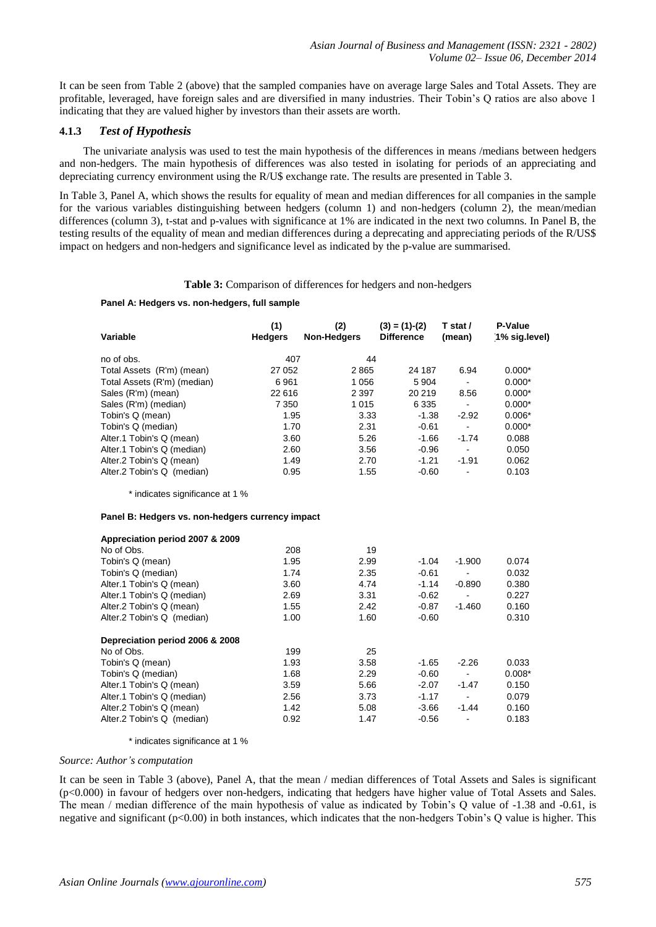It can be seen from Table 2 (above) that the sampled companies have on average large Sales and Total Assets. They are profitable, leveraged, have foreign sales and are diversified in many industries. Their Tobin's Q ratios are also above 1 indicating that they are valued higher by investors than their assets are worth.

## **4.1.3** *Test of Hypothesis*

The univariate analysis was used to test the main hypothesis of the differences in means /medians between hedgers and non-hedgers. The main hypothesis of differences was also tested in isolating for periods of an appreciating and depreciating currency environment using the R/U\$ exchange rate. The results are presented in Table 3.

In Table 3, Panel A, which shows the results for equality of mean and median differences for all companies in the sample for the various variables distinguishing between hedgers (column 1) and non-hedgers (column 2), the mean/median differences (column 3), t-stat and p-values with significance at 1% are indicated in the next two columns. In Panel B, the testing results of the equality of mean and median differences during a deprecating and appreciating periods of the R/US\$ impact on hedgers and non-hedgers and significance level as indicated by the p-value are summarised.

#### **Table 3:** Comparison of differences for hedgers and non-hedgers

#### **Panel A: Hedgers vs. non-hedgers, full sample**

| Variable                                         | (1)<br><b>Hedgers</b> | (2)<br><b>Non-Hedgers</b> | $(3) = (1)-(2)$<br><b>Difference</b> | T stat /<br>(mean)       | P-Value<br>1% sig.level) |
|--------------------------------------------------|-----------------------|---------------------------|--------------------------------------|--------------------------|--------------------------|
| no of obs.                                       | 407                   | 44                        |                                      |                          |                          |
| Total Assets (R'm) (mean)                        | 27 052                | 2865                      | 24 187                               | 6.94                     | $0.000*$                 |
| Total Assets (R'm) (median)                      | 6961                  | 1 0 5 6                   | 5 9 0 4                              | $\overline{\phantom{0}}$ | $0.000*$                 |
| Sales (R'm) (mean)                               | 22 616                | 2 3 9 7                   | 20 219                               | 8.56                     | $0.000*$                 |
| Sales (R'm) (median)                             | 7 3 5 0               | 1 0 1 5                   | 6 3 3 5                              | ÷,                       | $0.000*$                 |
| Tobin's Q (mean)                                 | 1.95                  | 3.33                      | $-1.38$                              | $-2.92$                  | $0.006*$                 |
| Tobin's Q (median)                               | 1.70                  | 2.31                      | $-0.61$                              | $\blacksquare$           | $0.000*$                 |
| Alter.1 Tobin's Q (mean)                         | 3.60                  | 5.26                      | $-1.66$                              | $-1.74$                  | 0.088                    |
| Alter.1 Tobin's Q (median)                       | 2.60                  | 3.56                      | $-0.96$                              | $\overline{\phantom{a}}$ | 0.050                    |
| Alter.2 Tobin's Q (mean)                         | 1.49                  | 2.70                      | $-1.21$                              | $-1.91$                  | 0.062                    |
| Alter.2 Tobin's Q (median)                       | 0.95                  | 1.55                      | $-0.60$                              |                          | 0.103                    |
| * indicates significance at 1 %                  |                       |                           |                                      |                          |                          |
| Panel B: Hedgers vs. non-hedgers currency impact |                       |                           |                                      |                          |                          |
| Appreciation period 2007 & 2009                  |                       |                           |                                      |                          |                          |
| No of Obs.                                       | 208                   | 19                        |                                      |                          |                          |
| Tobin's Q (mean)                                 | 1.95                  | 2.99                      | $-1.04$                              | $-1.900$                 | 0.074                    |
| Tobin's Q (median)                               | 1.74                  | 2.35                      | $-0.61$                              |                          | 0.032                    |
| Alter.1 Tobin's Q (mean)                         | 3.60                  | 4.74                      | $-1.14$                              | $-0.890$                 | 0.380                    |
| Alter.1 Tobin's Q (median)                       | 2.69                  | 3.31                      | $-0.62$                              |                          | 0.227                    |
| Alter.2 Tobin's Q (mean)                         | 1.55                  | 2.42                      | $-0.87$                              | $-1.460$                 | 0.160                    |
| Alter.2 Tobin's Q (median)                       | 1.00                  | 1.60                      | $-0.60$                              |                          | 0.310                    |
| Depreciation period 2006 & 2008                  |                       |                           |                                      |                          |                          |
| No of Obs.                                       | 199                   | 25                        |                                      |                          |                          |
| Tobin's Q (mean)                                 | 1.93                  | 3.58                      | $-1.65$                              | $-2.26$                  | 0.033                    |
| Tobin's Q (median)                               | 1.68                  | 2.29                      | $-0.60$                              |                          | $0.008*$                 |
| Alter.1 Tobin's Q (mean)                         | 3.59                  | 5.66                      | $-2.07$                              | $-1.47$                  | 0.150                    |
| Alter.1 Tobin's Q (median)                       | 2.56                  | 3.73                      | $-1.17$                              |                          | 0.079                    |
| Alter.2 Tobin's Q (mean)                         | 1.42                  | 5.08                      | $-3.66$                              | $-1.44$                  | 0.160                    |
| Alter.2 Tobin's Q (median)                       | 0.92                  | 1.47                      | $-0.56$                              | $\overline{\phantom{0}}$ | 0.183                    |

#### \* indicates significance at 1 %

#### *Source: Author's computation*

It can be seen in Table 3 (above), Panel A, that the mean / median differences of Total Assets and Sales is significant (p<0.000) in favour of hedgers over non-hedgers, indicating that hedgers have higher value of Total Assets and Sales. The mean / median difference of the main hypothesis of value as indicated by Tobin's Q value of -1.38 and -0.61, is negative and significant (p<0.00) in both instances, which indicates that the non-hedgers Tobin's Q value is higher. This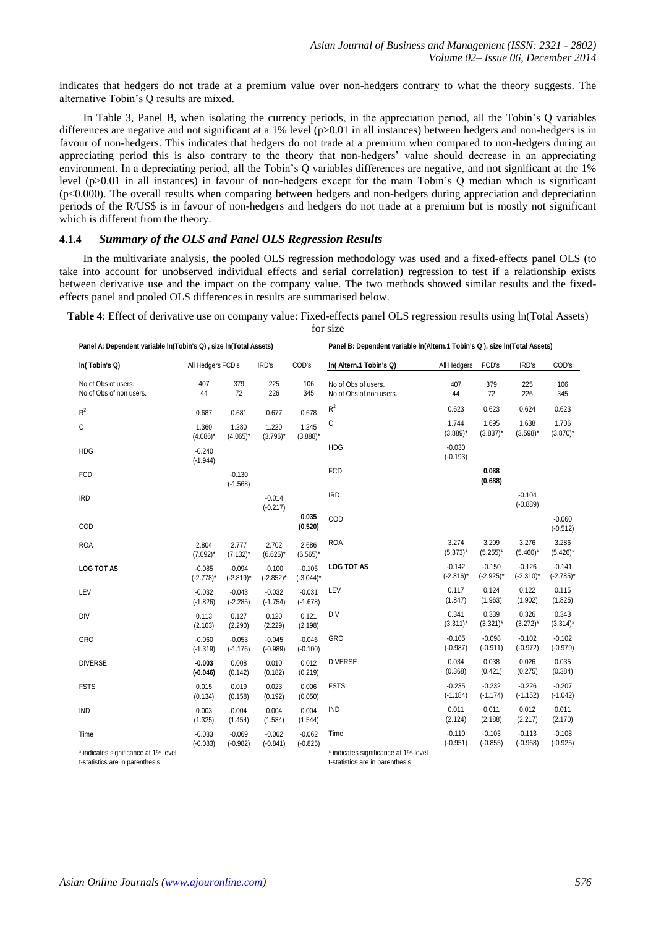indicates that hedgers do not trade at a premium value over non-hedgers contrary to what the theory suggests. The alternative Tobin's Q results are mixed.

In Table 3, Panel B, when isolating the currency periods, in the appreciation period, all the Tobin's Q variables differences are negative and not significant at a 1% level  $(p>0.01$  in all instances) between hedgers and non-hedgers is in favour of non-hedgers. This indicates that hedgers do not trade at a premium when compared to non-hedgers during an appreciating period this is also contrary to the theory that non-hedgers' value should decrease in an appreciating environment. In a depreciating period, all the Tobin's Q variables differences are negative, and not significant at the 1% level (p>0.01 in all instances) in favour of non-hedgers except for the main Tobin's Q median which is significant (p<0.000). The overall results when comparing between hedgers and non-hedgers during appreciation and depreciation periods of the R/US\$ is in favour of non-hedgers and hedgers do not trade at a premium but is mostly not significant which is different from the theory.

# **4.1.4** *Summary of the OLS and Panel OLS Regression Results*

In the multivariate analysis, the pooled OLS regression methodology was used and a fixed-effects panel OLS (to take into account for unobserved individual effects and serial correlation) regression to test if a relationship exists between derivative use and the impact on the company value. The two methods showed similar results and the fixedeffects panel and pooled OLS differences in results are summarised below.

**Table 4**: Effect of derivative use on company value: Fixed-effects panel OLS regression results using ln(Total Assets) for size

| Panel A: Dependent variable In(Tobin's Q), size In(Total Assets) |                          |                          |                          |                          | Panel B: Dependent variable In(Altern.1 Tobin's Q), size In(Total Assets) |                          |                          |                          |                          |
|------------------------------------------------------------------|--------------------------|--------------------------|--------------------------|--------------------------|---------------------------------------------------------------------------|--------------------------|--------------------------|--------------------------|--------------------------|
| In(Tobin's Q)                                                    | All Hedgers FCD's        |                          | IRD's                    | COD's                    | In(Altern.1 Tobin's Q)                                                    | All Hedgers              | FCD's                    | IRD's                    | COD's                    |
| No of Obs of users.<br>No of Obs of non users.                   | 407<br>44                | 379<br>72                | 225<br>226               | 106<br>345               | No of Obs of users.<br>No of Obs of non users.                            | 407<br>44                | 379<br>72                | 225<br>226               | 106<br>345               |
| $R^2$                                                            | 0.687                    | 0.681                    | 0.677                    | 0.678                    | $R^2$                                                                     | 0.623                    | 0.623                    | 0.624                    | 0.623                    |
| C                                                                | 1.360<br>$(4.086)^*$     | 1.280<br>$(4.065)^*$     | 1.220<br>$(3.796)^*$     | 1.245<br>$(3.888)^*$     | С                                                                         | 1.744<br>$(3.889)^*$     | 1.695<br>$(3.837)^*$     | 1.638<br>$(3.598)^*$     | 1.706<br>$(3.870)^*$     |
| <b>HDG</b>                                                       | $-0.240$<br>$(-1.944)$   |                          |                          |                          | <b>HDG</b>                                                                | $-0.030$<br>$(-0.193)$   |                          |                          |                          |
| <b>FCD</b>                                                       |                          | $-0.130$<br>$(-1.568)$   |                          |                          | <b>FCD</b>                                                                |                          | 0.088<br>(0.688)         |                          |                          |
| <b>IRD</b>                                                       |                          |                          | $-0.014$<br>$(-0.217)$   |                          | <b>IRD</b>                                                                |                          |                          | $-0.104$<br>$(-0.889)$   |                          |
| COD                                                              |                          |                          |                          | 0.035<br>(0.520)         | COD                                                                       |                          |                          |                          | $-0.060$<br>$(-0.512)$   |
| <b>ROA</b>                                                       | 2.804<br>$(7.092)^*$     | 2.777<br>$(7.132)^*$     | 2.702<br>$(6.625)^*$     | 2.686<br>$(6.565)^*$     | <b>ROA</b>                                                                | 3.274<br>$(5.373)^*$     | 3.209<br>$(5.255)^*$     | 3.276<br>$(5.460)^*$     | 3.286<br>$(5.426)^*$     |
| <b>LOG TOT AS</b>                                                | $-0.085$<br>$(-2.778)^*$ | $-0.094$<br>$(-2.819)^*$ | $-0.100$<br>$(-2.852)^*$ | $-0.105$<br>$(-3.044)$ * | <b>LOG TOT AS</b>                                                         | $-0.142$<br>$(-2.816)^*$ | $-0.150$<br>$(-2.925)^*$ | $-0.126$<br>$(-2.310)^*$ | $-0.141$<br>$(-2.785)^*$ |
| LEV                                                              | $-0.032$<br>$(-1.826)$   | $-0.043$<br>$(-2.285)$   | $-0.032$<br>$(-1.754)$   | $-0.031$<br>$(-1.678)$   | LEV                                                                       | 0.117<br>(1.847)         | 0.124<br>(1.963)         | 0.122<br>(1.902)         | 0.115<br>(1.825)         |
| DIV                                                              | 0.113<br>(2.103)         | 0.127<br>(2.290)         | 0.120<br>(2.229)         | 0.121<br>(2.198)         | <b>DIV</b>                                                                | 0.341<br>$(3.311)^*$     | 0.339<br>$(3.321)^*$     | 0.326<br>$(3.272)^*$     | 0.343<br>$(3.314)^*$     |
| <b>GRO</b>                                                       | $-0.060$<br>$(-1.319)$   | $-0.053$<br>$(-1.176)$   | $-0.045$<br>$(-0.989)$   | $-0.046$<br>$(-0.100)$   | GRO                                                                       | $-0.105$<br>$(-0.987)$   | $-0.098$<br>$(-0.911)$   | $-0.102$<br>$(-0.972)$   | $-0.102$<br>$(-0.979)$   |
| <b>DIVERSE</b>                                                   | $-0.003$<br>$(-0.046)$   | 0.008<br>(0.142)         | 0.010<br>(0.182)         | 0.012<br>(0.219)         | <b>DIVERSE</b>                                                            | 0.034<br>(0.368)         | 0.038<br>(0.421)         | 0.026<br>(0.275)         | 0.035<br>(0.384)         |
| <b>FSTS</b>                                                      | 0.015<br>(0.134)         | 0.019<br>(0.158)         | 0.023<br>(0.192)         | 0.006<br>(0.050)         | <b>FSTS</b>                                                               | $-0.235$<br>$(-1.184)$   | $-0.232$<br>$(-1.174)$   | $-0.226$<br>$(-1.152)$   | $-0.207$<br>$(-1.042)$   |
| <b>IND</b>                                                       | 0.003<br>(1.325)         | 0.004<br>(1.454)         | 0.004<br>(1.584)         | 0.004<br>(1.544)         | <b>IND</b>                                                                | 0.011<br>(2.124)         | 0.011<br>(2.188)         | 0.012<br>(2.217)         | 0.011<br>(2.170)         |
| Time                                                             | $-0.083$<br>$(-0.083)$   | $-0.069$<br>$(-0.982)$   | $-0.062$<br>$(-0.841)$   | $-0.062$<br>$(-0.825)$   | Time                                                                      | $-0.110$<br>$(-0.951)$   | $-0.103$<br>$(-0.855)$   | $-0.113$<br>$(-0.968)$   | $-0.108$<br>$(-0.925)$   |

\* indicates significance at 1% level t-statistics are in parenthesis

\* indicates significance at 1% level t-statistics are in parenthesis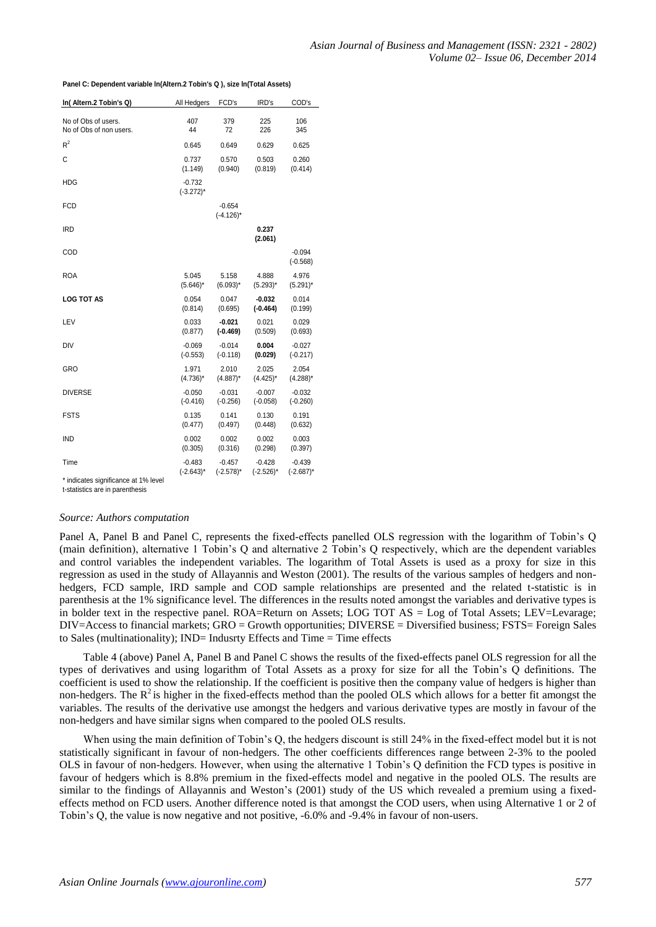| In(Altern.2 Tobin's Q)  | All Hedgers              | FCD's                    | IRD's            | COD's                  |
|-------------------------|--------------------------|--------------------------|------------------|------------------------|
| No of Obs of users.     | 407                      | 379                      | 225              | 106                    |
| No of Obs of non users. | 44                       | 72                       | 226              | 345                    |
| $R^2$                   | 0.645                    | 0.649                    | 0.629            | 0.625                  |
| C                       | 0.737                    | 0.570                    | 0.503            | 0.260                  |
|                         | (1.149)                  | (0.940)                  | (0.819)          | (0.414)                |
| HDG                     | $-0.732$<br>$(-3.272)^*$ |                          |                  |                        |
| FCD                     |                          | $-0.654$<br>$(-4.126)^*$ |                  |                        |
| <b>IRD</b>              |                          |                          | 0.237<br>(2.061) |                        |
| COD                     |                          |                          |                  | $-0.094$<br>$(-0.568)$ |
| <b>ROA</b>              | 5.045                    | 5.158                    | 4.888            | 4.976                  |
|                         | $(5.646)^*$              | $(6.093)^*$              | $(5.293)^*$      | $(5.291)^*$            |
| <b>LOG TOT AS</b>       | 0.054                    | 0.047                    | $-0.032$         | 0.014                  |
|                         | (0.814)                  | (0.695)                  | $(-0.464)$       | (0.199)                |
| LEV                     | 0.033                    | $-0.021$                 | 0.021            | 0.029                  |
|                         | (0.877)                  | $(-0.469)$               | (0.509)          | (0.693)                |
| DIV                     | $-0.069$                 | $-0.014$                 | 0.004            | $-0.027$               |
|                         | $(-0.553)$               | $(-0.118)$               | (0.029)          | $(-0.217)$             |
| GRO                     | 1.971                    | 2.010                    | 2.025            | 2.054                  |
|                         | $(4.736)^*$              | $(4.887)^*$              | $(4.425)^*$      | $(4.288)^*$            |
| <b>DIVERSE</b>          | $-0.050$                 | $-0.031$                 | $-0.007$         | $-0.032$               |
|                         | $(-0.416)$               | $(-0.256)$               | $(-0.058)$       | $(-0.260)$             |
| FSTS                    | 0.135                    | 0.141                    | 0.130            | 0.191                  |
|                         | (0.477)                  | (0.497)                  | (0.448)          | (0.632)                |
| <b>IND</b>              | 0.002                    | 0.002                    | 0.002            | 0.003                  |
|                         | (0.305)                  | (0.316)                  | (0.298)          | (0.397)                |
| Time                    | $-0.483$                 | $-0.457$                 | $-0.428$         | $-0.439$               |
|                         | $(-2.643)^*$             | $(-2.578)^*$             | $(-2.526)^*$     | $(-2.687)^*$           |

**Panel C: Dependent variable ln(Altern.2 Tobin's Q ), size ln(Total Assets)**

\* indicates significance at 1% level

t-statistics are in parenthesis

## *Source: Authors computation*

Panel A, Panel B and Panel C, represents the fixed-effects panelled OLS regression with the logarithm of Tobin's Q (main definition), alternative 1 Tobin's Q and alternative 2 Tobin's Q respectively, which are the dependent variables and control variables the independent variables. The logarithm of Total Assets is used as a proxy for size in this regression as used in the study of Allayannis and Weston (2001). The results of the various samples of hedgers and nonhedgers, FCD sample, IRD sample and COD sample relationships are presented and the related t-statistic is in parenthesis at the 1% significance level. The differences in the results noted amongst the variables and derivative types is in bolder text in the respective panel. ROA=Return on Assets; LOG TOT AS = Log of Total Assets; LEV=Levarage; DIV=Access to financial markets; GRO = Growth opportunities; DIVERSE = Diversified business; FSTS= Foreign Sales to Sales (multinationality); IND= Indusrty Effects and Time = Time effects

Table 4 (above) Panel A, Panel B and Panel C shows the results of the fixed-effects panel OLS regression for all the types of derivatives and using logarithm of Total Assets as a proxy for size for all the Tobin's Q definitions. The coefficient is used to show the relationship. If the coefficient is positive then the company value of hedgers is higher than non-hedgers. The  $R^2$  is higher in the fixed-effects method than the pooled OLS which allows for a better fit amongst the variables. The results of the derivative use amongst the hedgers and various derivative types are mostly in favour of the non-hedgers and have similar signs when compared to the pooled OLS results.

When using the main definition of Tobin's Q, the hedgers discount is still 24% in the fixed-effect model but it is not statistically significant in favour of non-hedgers. The other coefficients differences range between 2-3% to the pooled OLS in favour of non-hedgers. However, when using the alternative 1 Tobin's Q definition the FCD types is positive in favour of hedgers which is 8.8% premium in the fixed-effects model and negative in the pooled OLS. The results are similar to the findings of Allayannis and Weston's (2001) study of the US which revealed a premium using a fixedeffects method on FCD users. Another difference noted is that amongst the COD users, when using Alternative 1 or 2 of Tobin's Q, the value is now negative and not positive, -6.0% and -9.4% in favour of non-users.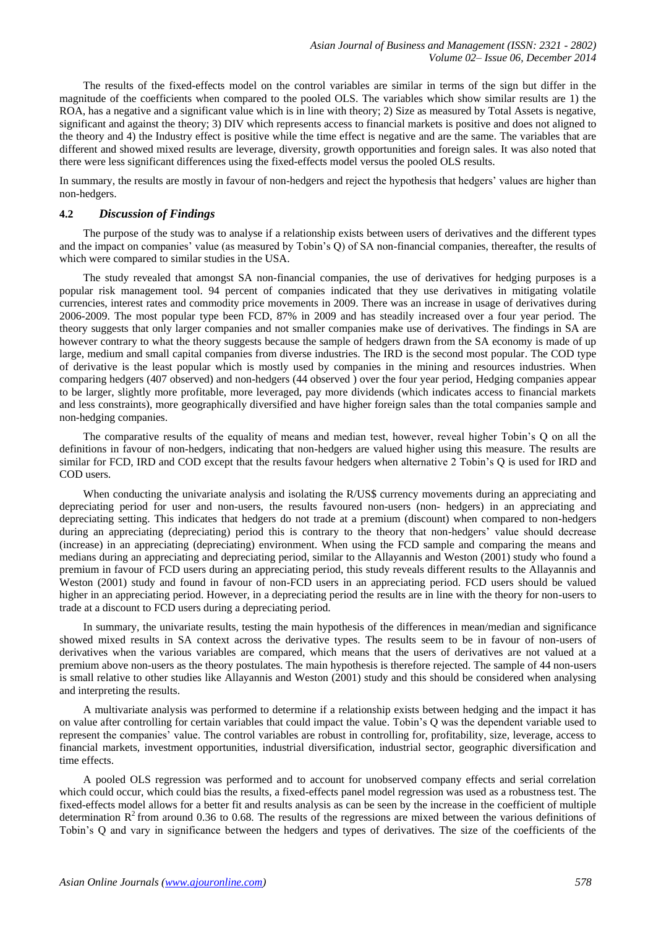The results of the fixed-effects model on the control variables are similar in terms of the sign but differ in the magnitude of the coefficients when compared to the pooled OLS. The variables which show similar results are 1) the ROA, has a negative and a significant value which is in line with theory; 2) Size as measured by Total Assets is negative, significant and against the theory; 3) DIV which represents access to financial markets is positive and does not aligned to the theory and 4) the Industry effect is positive while the time effect is negative and are the same. The variables that are different and showed mixed results are leverage, diversity, growth opportunities and foreign sales. It was also noted that there were less significant differences using the fixed-effects model versus the pooled OLS results.

In summary, the results are mostly in favour of non-hedgers and reject the hypothesis that hedgers' values are higher than non-hedgers.

#### **4.2** *Discussion of Findings*

The purpose of the study was to analyse if a relationship exists between users of derivatives and the different types and the impact on companies' value (as measured by Tobin's Q) of SA non-financial companies, thereafter, the results of which were compared to similar studies in the USA.

The study revealed that amongst SA non-financial companies, the use of derivatives for hedging purposes is a popular risk management tool. 94 percent of companies indicated that they use derivatives in mitigating volatile currencies, interest rates and commodity price movements in 2009. There was an increase in usage of derivatives during 2006-2009. The most popular type been FCD, 87% in 2009 and has steadily increased over a four year period. The theory suggests that only larger companies and not smaller companies make use of derivatives. The findings in SA are however contrary to what the theory suggests because the sample of hedgers drawn from the SA economy is made of up large, medium and small capital companies from diverse industries. The IRD is the second most popular. The COD type of derivative is the least popular which is mostly used by companies in the mining and resources industries. When comparing hedgers (407 observed) and non-hedgers (44 observed ) over the four year period, Hedging companies appear to be larger, slightly more profitable, more leveraged, pay more dividends (which indicates access to financial markets and less constraints), more geographically diversified and have higher foreign sales than the total companies sample and non-hedging companies.

The comparative results of the equality of means and median test, however, reveal higher Tobin's Q on all the definitions in favour of non-hedgers, indicating that non-hedgers are valued higher using this measure. The results are similar for FCD, IRD and COD except that the results favour hedgers when alternative 2 Tobin's Q is used for IRD and COD users.

When conducting the univariate analysis and isolating the R/US\$ currency movements during an appreciating and depreciating period for user and non-users, the results favoured non-users (non- hedgers) in an appreciating and depreciating setting. This indicates that hedgers do not trade at a premium (discount) when compared to non-hedgers during an appreciating (depreciating) period this is contrary to the theory that non-hedgers' value should decrease (increase) in an appreciating (depreciating) environment. When using the FCD sample and comparing the means and medians during an appreciating and depreciating period, similar to the Allayannis and Weston (2001) study who found a premium in favour of FCD users during an appreciating period, this study reveals different results to the Allayannis and Weston (2001) study and found in favour of non-FCD users in an appreciating period. FCD users should be valued higher in an appreciating period. However, in a depreciating period the results are in line with the theory for non-users to trade at a discount to FCD users during a depreciating period.

In summary, the univariate results, testing the main hypothesis of the differences in mean/median and significance showed mixed results in SA context across the derivative types. The results seem to be in favour of non-users of derivatives when the various variables are compared, which means that the users of derivatives are not valued at a premium above non-users as the theory postulates. The main hypothesis is therefore rejected. The sample of 44 non-users is small relative to other studies like Allayannis and Weston (2001) study and this should be considered when analysing and interpreting the results.

A multivariate analysis was performed to determine if a relationship exists between hedging and the impact it has on value after controlling for certain variables that could impact the value. Tobin's Q was the dependent variable used to represent the companies' value. The control variables are robust in controlling for, profitability, size, leverage, access to financial markets, investment opportunities, industrial diversification, industrial sector, geographic diversification and time effects.

A pooled OLS regression was performed and to account for unobserved company effects and serial correlation which could occur, which could bias the results, a fixed-effects panel model regression was used as a robustness test. The fixed-effects model allows for a better fit and results analysis as can be seen by the increase in the coefficient of multiple determination  $R^2$  from around 0.36 to 0.68. The results of the regressions are mixed between the various definitions of Tobin's Q and vary in significance between the hedgers and types of derivatives. The size of the coefficients of the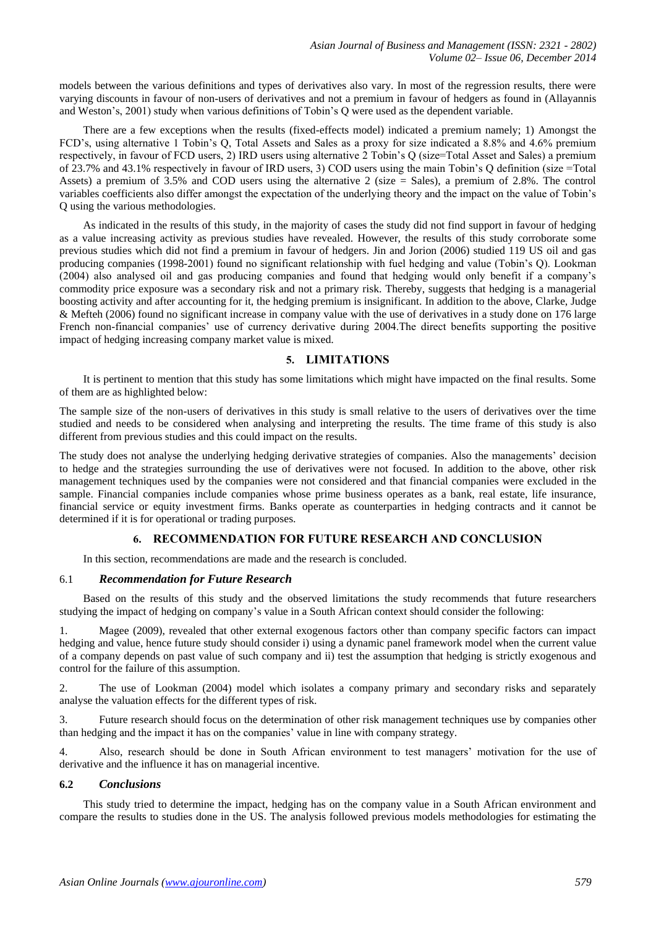models between the various definitions and types of derivatives also vary. In most of the regression results, there were varying discounts in favour of non-users of derivatives and not a premium in favour of hedgers as found in (Allayannis and Weston's, 2001) study when various definitions of Tobin's Q were used as the dependent variable.

There are a few exceptions when the results (fixed-effects model) indicated a premium namely; 1) Amongst the FCD's, using alternative 1 Tobin's Q, Total Assets and Sales as a proxy for size indicated a 8.8% and 4.6% premium respectively, in favour of FCD users, 2) IRD users using alternative 2 Tobin's Q (size=Total Asset and Sales) a premium of 23.7% and 43.1% respectively in favour of IRD users, 3) COD users using the main Tobin's Q definition (size =Total Assets) a premium of 3.5% and COD users using the alternative 2 (size = Sales), a premium of 2.8%. The control variables coefficients also differ amongst the expectation of the underlying theory and the impact on the value of Tobin's Q using the various methodologies.

As indicated in the results of this study, in the majority of cases the study did not find support in favour of hedging as a value increasing activity as previous studies have revealed. However, the results of this study corroborate some previous studies which did not find a premium in favour of hedgers. Jin and Jorion (2006) studied 119 US oil and gas producing companies (1998-2001) found no significant relationship with fuel hedging and value (Tobin's Q). Lookman (2004) also analysed oil and gas producing companies and found that hedging would only benefit if a company's commodity price exposure was a secondary risk and not a primary risk. Thereby, suggests that hedging is a managerial boosting activity and after accounting for it, the hedging premium is insignificant. In addition to the above, Clarke, Judge & Mefteh (2006) found no significant increase in company value with the use of derivatives in a study done on 176 large French non-financial companies' use of currency derivative during 2004.The direct benefits supporting the positive impact of hedging increasing company market value is mixed.

# **5. LIMITATIONS**

It is pertinent to mention that this study has some limitations which might have impacted on the final results. Some of them are as highlighted below:

The sample size of the non-users of derivatives in this study is small relative to the users of derivatives over the time studied and needs to be considered when analysing and interpreting the results. The time frame of this study is also different from previous studies and this could impact on the results.

The study does not analyse the underlying hedging derivative strategies of companies. Also the managements' decision to hedge and the strategies surrounding the use of derivatives were not focused. In addition to the above, other risk management techniques used by the companies were not considered and that financial companies were excluded in the sample. Financial companies include companies whose prime business operates as a bank, real estate, life insurance, financial service or equity investment firms. Banks operate as counterparties in hedging contracts and it cannot be determined if it is for operational or trading purposes.

# **6. RECOMMENDATION FOR FUTURE RESEARCH AND CONCLUSION**

In this section, recommendations are made and the research is concluded.

## 6.1 *Recommendation for Future Research*

Based on the results of this study and the observed limitations the study recommends that future researchers studying the impact of hedging on company's value in a South African context should consider the following:

Magee (2009), revealed that other external exogenous factors other than company specific factors can impact hedging and value, hence future study should consider i) using a dynamic panel framework model when the current value of a company depends on past value of such company and ii) test the assumption that hedging is strictly exogenous and control for the failure of this assumption.

2. The use of Lookman (2004) model which isolates a company primary and secondary risks and separately analyse the valuation effects for the different types of risk.

3. Future research should focus on the determination of other risk management techniques use by companies other than hedging and the impact it has on the companies' value in line with company strategy.

4. Also, research should be done in South African environment to test managers' motivation for the use of derivative and the influence it has on managerial incentive.

## **6.2** *Conclusions*

This study tried to determine the impact, hedging has on the company value in a South African environment and compare the results to studies done in the US. The analysis followed previous models methodologies for estimating the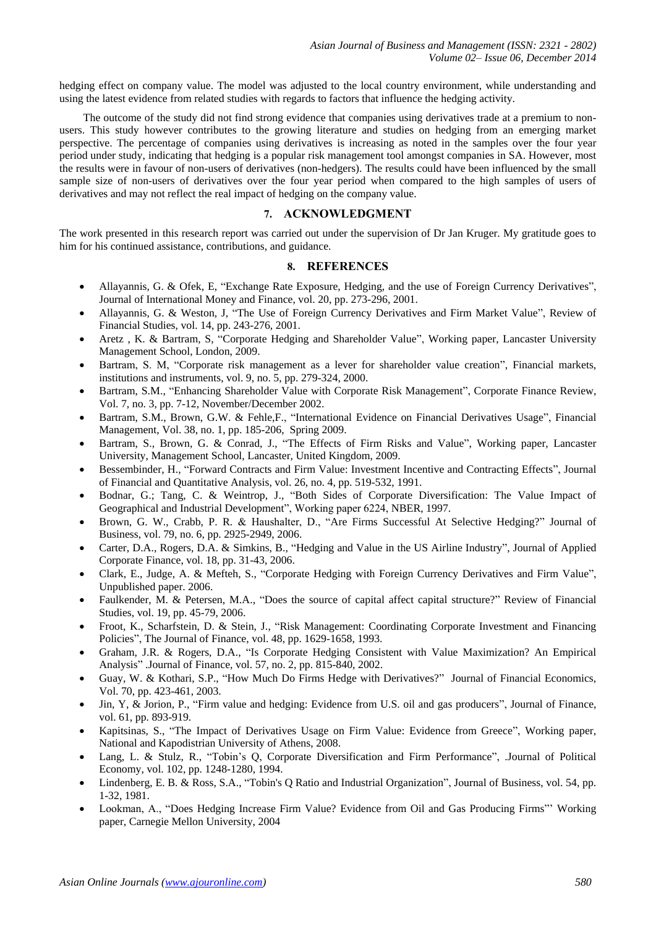hedging effect on company value. The model was adjusted to the local country environment, while understanding and using the latest evidence from related studies with regards to factors that influence the hedging activity.

The outcome of the study did not find strong evidence that companies using derivatives trade at a premium to nonusers. This study however contributes to the growing literature and studies on hedging from an emerging market perspective. The percentage of companies using derivatives is increasing as noted in the samples over the four year period under study, indicating that hedging is a popular risk management tool amongst companies in SA. However, most the results were in favour of non-users of derivatives (non-hedgers). The results could have been influenced by the small sample size of non-users of derivatives over the four year period when compared to the high samples of users of derivatives and may not reflect the real impact of hedging on the company value.

## **7. ACKNOWLEDGMENT**

The work presented in this research report was carried out under the supervision of Dr Jan Kruger. My gratitude goes to him for his continued assistance, contributions, and guidance.

#### **8. REFERENCES**

- Allayannis, G. & Ofek, E, "Exchange Rate Exposure, Hedging, and the use of Foreign Currency Derivatives", Journal of International Money and Finance, vol. 20, pp. 273-296, 2001.
- Allayannis, G. & Weston, J, "The Use of Foreign Currency Derivatives and Firm Market Value", Review of Financial Studies, vol. 14, pp. 243-276, 2001.
- Aretz , K. & Bartram, S, "Corporate Hedging and Shareholder Value", Working paper, Lancaster University Management School, London, 2009.
- Bartram, S. M, "Corporate risk management as a lever for shareholder value creation", Financial markets, institutions and instruments, vol. 9, no. 5, pp. 279-324, 2000.
- Bartram, S.M., "Enhancing Shareholder Value with Corporate Risk Management", Corporate Finance Review, Vol. 7, no. 3, pp. 7-12, November/December 2002.
- Bartram, S.M., Brown, G.W. & Fehle,F., "International Evidence on Financial Derivatives Usage", Financial Management, Vol. 38, no. 1, pp. 185-206, Spring 2009.
- Bartram, S., Brown, G. & Conrad, J., "The Effects of Firm Risks and Value", Working paper, Lancaster University, Management School, Lancaster, United Kingdom, 2009.
- Bessembinder, H., "Forward Contracts and Firm Value: Investment Incentive and Contracting Effects", Journal of Financial and Quantitative Analysis, vol. 26, no. 4, pp. 519-532, 1991.
- Bodnar, G.; Tang, C. & Weintrop, J., "Both Sides of Corporate Diversification: The Value Impact of Geographical and Industrial Development", Working paper 6224, NBER, 1997.
- Brown, G. W., Crabb, P. R. & Haushalter, D., "Are Firms Successful At Selective Hedging?" Journal of Business, vol. 79, no. 6, pp. 2925-2949, 2006.
- Carter, D.A., Rogers, D.A. & Simkins, B., "Hedging and Value in the US Airline Industry", Journal of Applied Corporate Finance, vol. 18, pp. 31-43, 2006.
- Clark, E., Judge, A. & Mefteh, S., "Corporate Hedging with Foreign Currency Derivatives and Firm Value", Unpublished paper. 2006.
- Faulkender, M. & Petersen, M.A., "Does the source of capital affect capital structure?" Review of Financial Studies, vol. 19, pp. 45-79, 2006.
- Froot, K., Scharfstein, D. & Stein, J., "Risk Management: Coordinating Corporate Investment and Financing Policies", The Journal of Finance, vol. 48, pp. 1629-1658, 1993.
- Graham, J.R. & Rogers, D.A., "Is Corporate Hedging Consistent with Value Maximization? An Empirical Analysis" .Journal of Finance, vol. 57, no. 2, pp. 815-840, 2002.
- Guay, W. & Kothari, S.P., "How Much Do Firms Hedge with Derivatives?" Journal of Financial Economics, Vol. 70, pp. 423-461, 2003.
- Jin, Y, & Jorion, P., "Firm value and hedging: Evidence from U.S. oil and gas producers", Journal of Finance, vol. 61, pp. 893-919.
- Kapitsinas, S., "The Impact of Derivatives Usage on Firm Value: Evidence from Greece", Working paper, National and Kapodistrian University of Athens, 2008.
- Lang, L. & Stulz, R., "Tobin's Q, Corporate Diversification and Firm Performance", .Journal of Political Economy, vol. 102, pp. 1248-1280, 1994.
- Lindenberg, E. B. & Ross, S.A., "Tobin's Q Ratio and Industrial Organization", Journal of Business, vol. 54, pp. 1-32, 1981.
- Lookman, A., "Does Hedging Increase Firm Value? Evidence from Oil and Gas Producing Firms"' Working paper, Carnegie Mellon University, 2004